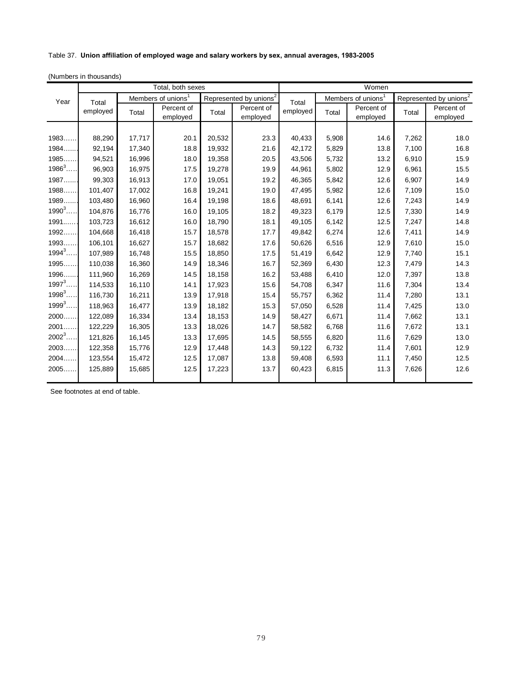## Table 37. **Union affiliation of employed wage and salary workers by sex, annual averages, 1983-2005**

|            | Total, both sexes |                                |                        |                                    |                        | Women    |                                |                        |                                    |                        |
|------------|-------------------|--------------------------------|------------------------|------------------------------------|------------------------|----------|--------------------------------|------------------------|------------------------------------|------------------------|
| Year       | Total<br>employed | Members of unions <sup>1</sup> |                        | Represented by unions <sup>2</sup> |                        | Total    | Members of unions <sup>1</sup> |                        | Represented by unions <sup>2</sup> |                        |
|            |                   | Total                          | Percent of<br>employed | Total                              | Percent of<br>employed | employed | Total                          | Percent of<br>employed | Total                              | Percent of<br>employed |
|            |                   |                                |                        |                                    |                        |          |                                |                        |                                    |                        |
| 1983       | 88,290            | 17,717                         | 20.1                   | 20,532                             | 23.3                   | 40,433   | 5,908                          | 14.6                   | 7,262                              | 18.0                   |
| 1984.      | 92,194            | 17,340                         | 18.8                   | 19,932                             | 21.6                   | 42,172   | 5,829                          | 13.8                   | 7,100                              | 16.8                   |
| 1985.      | 94,521            | 16,996                         | 18.0                   | 19,358                             | 20.5                   | 43,506   | 5,732                          | 13.2                   | 6,910                              | 15.9                   |
| $1986^3$   | 96,903            | 16,975                         | 17.5                   | 19,278                             | 19.9                   | 44,961   | 5,802                          | 12.9                   | 6,961                              | 15.5                   |
| 1987       | 99,303            | 16,913                         | 17.0                   | 19,051                             | 19.2                   | 46,365   | 5,842                          | 12.6                   | 6,907                              | 14.9                   |
| 1988       | 101,407           | 17,002                         | 16.8                   | 19,241                             | 19.0                   | 47,495   | 5,982                          | 12.6                   | 7,109                              | 15.0                   |
| 1989.      | 103,480           | 16,960                         | 16.4                   | 19,198                             | 18.6                   | 48,691   | 6,141                          | 12.6                   | 7,243                              | 14.9                   |
| $1990^3$   | 104,876           | 16,776                         | 16.0                   | 19,105                             | 18.2                   | 49,323   | 6,179                          | 12.5                   | 7,330                              | 14.9                   |
| 1991       | 103,723           | 16,612                         | 16.0                   | 18,790                             | 18.1                   | 49,105   | 6,142                          | 12.5                   | 7,247                              | 14.8                   |
| 1992       | 104,668           | 16,418                         | 15.7                   | 18,578                             | 17.7                   | 49,842   | 6,274                          | 12.6                   | 7,411                              | 14.9                   |
| 1993.      | 106,101           | 16,627                         | 15.7                   | 18,682                             | 17.6                   | 50,626   | 6,516                          | 12.9                   | 7,610                              | 15.0                   |
| $1994^{3}$ | 107,989           | 16,748                         | 15.5                   | 18,850                             | 17.5                   | 51,419   | 6,642                          | 12.9                   | 7,740                              | 15.1                   |
| 1995       | 110,038           | 16,360                         | 14.9                   | 18,346                             | 16.7                   | 52,369   | 6,430                          | 12.3                   | 7,479                              | 14.3                   |
| 1996       | 111.960           | 16,269                         | 14.5                   | 18,158                             | 16.2                   | 53,488   | 6,410                          | 12.0                   | 7,397                              | 13.8                   |
| $1997^{3}$ | 114,533           | 16,110                         | 14.1                   | 17,923                             | 15.6                   | 54,708   | 6,347                          | 11.6                   | 7,304                              | 13.4                   |
| $1998^3$ . | 116,730           | 16,211                         | 13.9                   | 17,918                             | 15.4                   | 55,757   | 6,362                          | 11.4                   | 7,280                              | 13.1                   |
| $1999^3$   | 118,963           | 16,477                         | 13.9                   | 18,182                             | 15.3                   | 57,050   | 6,528                          | 11.4                   | 7,425                              | 13.0                   |
| 2000       | 122,089           | 16,334                         | 13.4                   | 18,153                             | 14.9                   | 58,427   | 6,671                          | 11.4                   | 7,662                              | 13.1                   |
| 2001.      | 122,229           | 16,305                         | 13.3                   | 18,026                             | 14.7                   | 58,582   | 6,768                          | 11.6                   | 7,672                              | 13.1                   |
| $2002^3$   | 121,826           | 16,145                         | 13.3                   | 17,695                             | 14.5                   | 58,555   | 6,820                          | 11.6                   | 7,629                              | 13.0                   |
| 2003       | 122,358           | 15,776                         | 12.9                   | 17,448                             | 14.3                   | 59,122   | 6,732                          | 11.4                   | 7,601                              | 12.9                   |
| 2004.      | 123,554           | 15,472                         | 12.5                   | 17,087                             | 13.8                   | 59,408   | 6,593                          | 11.1                   | 7,450                              | 12.5                   |
| 2005.      | 125,889           | 15,685                         | 12.5                   | 17,223                             | 13.7                   | 60,423   | 6,815                          | 11.3                   | 7,626                              | 12.6                   |
|            |                   |                                |                        |                                    |                        |          |                                |                        |                                    |                        |

See footnotes at end of table.